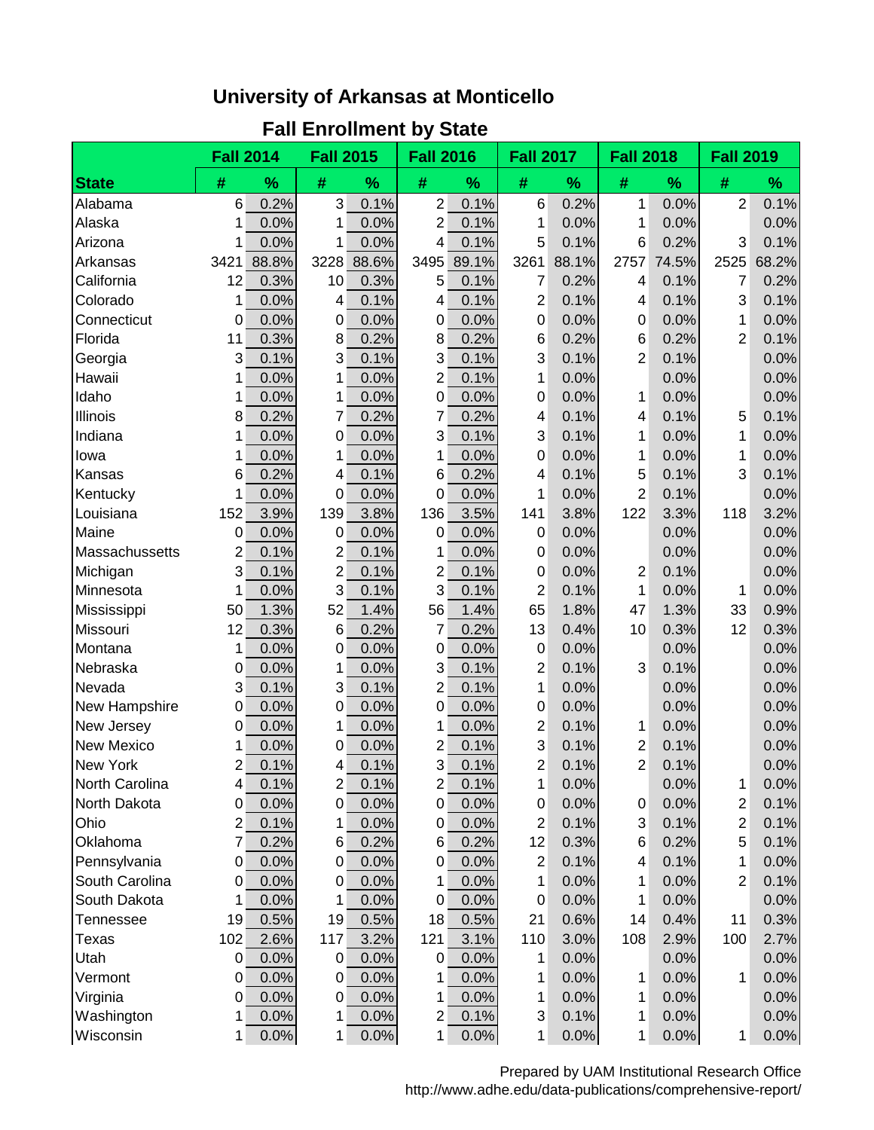## **University of Arkansas at Monticello**

## **Fall Enrollment by State**

|                   | <b>Fall 2014</b> |       | <b>Fall 2015</b> |       | <b>Fall 2016</b> |       | <b>Fall 2017</b> |       | <b>Fall 2018</b> |               | <b>Fall 2019</b>        |       |
|-------------------|------------------|-------|------------------|-------|------------------|-------|------------------|-------|------------------|---------------|-------------------------|-------|
| <b>State</b>      | #                | %     | #                | %     | #                | %     | #                | %     | #                | $\frac{9}{6}$ | #                       | %     |
| Alabama           | 6                | 0.2%  | 3                | 0.1%  | $\overline{2}$   | 0.1%  | 6                | 0.2%  | 1                | 0.0%          | $\overline{2}$          | 0.1%  |
| Alaska            | 1                | 0.0%  | 1                | 0.0%  | 2                | 0.1%  | 1                | 0.0%  | 1                | 0.0%          |                         | 0.0%  |
| Arizona           | 1                | 0.0%  | 1                | 0.0%  | 4                | 0.1%  | 5                | 0.1%  | 6                | 0.2%          | 3                       | 0.1%  |
| Arkansas          | 3421             | 88.8% | 3228             | 88.6% | 3495             | 89.1% | 3261             | 88.1% | 2757             | 74.5%         | 2525                    | 68.2% |
| California        | 12               | 0.3%  | 10               | 0.3%  | 5                | 0.1%  | 7                | 0.2%  | $\overline{4}$   | 0.1%          | 7                       | 0.2%  |
| Colorado          | 1                | 0.0%  | 4                | 0.1%  | 4                | 0.1%  | $\overline{2}$   | 0.1%  | 4                | 0.1%          | 3                       | 0.1%  |
| Connecticut       | 0                | 0.0%  | 0                | 0.0%  | 0                | 0.0%  | 0                | 0.0%  | $\mathbf 0$      | 0.0%          | 1                       | 0.0%  |
| Florida           | 11               | 0.3%  | 8                | 0.2%  | 8                | 0.2%  | 6                | 0.2%  | 6                | 0.2%          | 2                       | 0.1%  |
| Georgia           | 3                | 0.1%  | 3                | 0.1%  | 3                | 0.1%  | 3                | 0.1%  | 2                | 0.1%          |                         | 0.0%  |
| Hawaii            | 1                | 0.0%  | 1                | 0.0%  | 2                | 0.1%  | 1                | 0.0%  |                  | 0.0%          |                         | 0.0%  |
| Idaho             | 1                | 0.0%  | 1                | 0.0%  | 0                | 0.0%  | 0                | 0.0%  | 1                | 0.0%          |                         | 0.0%  |
| Illinois          | 8                | 0.2%  | 7                | 0.2%  | 7                | 0.2%  | 4                | 0.1%  | 4                | 0.1%          | 5                       | 0.1%  |
| Indiana           | 1                | 0.0%  | 0                | 0.0%  | 3                | 0.1%  | 3                | 0.1%  | 1                | 0.0%          | 1                       | 0.0%  |
| lowa              | 1                | 0.0%  | 1                | 0.0%  | 1                | 0.0%  | 0                | 0.0%  | 1                | 0.0%          | 1                       | 0.0%  |
| Kansas            | 6                | 0.2%  | 4                | 0.1%  | 6                | 0.2%  | 4                | 0.1%  | 5                | 0.1%          | 3                       | 0.1%  |
| Kentucky          | 1                | 0.0%  | 0                | 0.0%  | 0                | 0.0%  | 1                | 0.0%  | $\overline{2}$   | 0.1%          |                         | 0.0%  |
| Louisiana         | 152              | 3.9%  | 139              | 3.8%  | 136              | 3.5%  | 141              | 3.8%  | 122              | 3.3%          | 118                     | 3.2%  |
| Maine             | 0                | 0.0%  | 0                | 0.0%  | 0                | 0.0%  | 0                | 0.0%  |                  | 0.0%          |                         | 0.0%  |
| Massachussetts    | 2                | 0.1%  | 2                | 0.1%  | 1                | 0.0%  | 0                | 0.0%  |                  | 0.0%          |                         | 0.0%  |
| Michigan          | 3                | 0.1%  | 2                | 0.1%  | 2                | 0.1%  | 0                | 0.0%  | $\overline{c}$   | 0.1%          |                         | 0.0%  |
| Minnesota         | 1                | 0.0%  | 3                | 0.1%  | 3                | 0.1%  | $\overline{2}$   | 0.1%  | 1                | 0.0%          | 1                       | 0.0%  |
| Mississippi       | 50               | 1.3%  | 52               | 1.4%  | 56               | 1.4%  | 65               | 1.8%  | 47               | 1.3%          | 33                      | 0.9%  |
| Missouri          | 12               | 0.3%  | 6                | 0.2%  | 7                | 0.2%  | 13               | 0.4%  | 10               | 0.3%          | 12                      | 0.3%  |
| Montana           | 1                | 0.0%  | 0                | 0.0%  | $\mathbf 0$      | 0.0%  | 0                | 0.0%  |                  | 0.0%          |                         | 0.0%  |
| Nebraska          | 0                | 0.0%  | 1                | 0.0%  | 3                | 0.1%  | 2                | 0.1%  | 3                | 0.1%          |                         | 0.0%  |
| Nevada            | 3                | 0.1%  | 3                | 0.1%  | 2                | 0.1%  | 1                | 0.0%  |                  | 0.0%          |                         | 0.0%  |
| New Hampshire     | 0                | 0.0%  | 0                | 0.0%  | 0                | 0.0%  | 0                | 0.0%  |                  | 0.0%          |                         | 0.0%  |
| New Jersey        | 0                | 0.0%  | 1                | 0.0%  | 1                | 0.0%  | 2                | 0.1%  | 1                | 0.0%          |                         | 0.0%  |
| <b>New Mexico</b> | 1                | 0.0%  | 0                | 0.0%  | 2                | 0.1%  | 3                | 0.1%  | $\overline{c}$   | 0.1%          |                         | 0.0%  |
| <b>New York</b>   | 2                | 0.1%  | 4                | 0.1%  | 3                | 0.1%  | $\overline{2}$   | 0.1%  | $\overline{2}$   | 0.1%          |                         | 0.0%  |
| North Carolina    | 4                | 0.1%  | $\overline{2}$   | 0.1%  | $\overline{2}$   | 0.1%  | 1                | 0.0%  |                  | 0.0%          | 1                       | 0.0%  |
| North Dakota      | 0                | 0.0%  | 0                | 0.0%  | 0                | 0.0%  | 0                | 0.0%  | $\pmb{0}$        | 0.0%          | $\overline{\mathbf{c}}$ | 0.1%  |
| Ohio              | 2                | 0.1%  | 1                | 0.0%  | 0                | 0.0%  | 2                | 0.1%  | 3                | 0.1%          | $\overline{2}$          | 0.1%  |
| Oklahoma          | 7                | 0.2%  | 6                | 0.2%  | 6                | 0.2%  | 12               | 0.3%  | 6                | 0.2%          | 5                       | 0.1%  |
| Pennsylvania      | 0                | 0.0%  | 0                | 0.0%  | 0                | 0.0%  | 2                | 0.1%  | 4                | 0.1%          | 1                       | 0.0%  |
| South Carolina    | 0                | 0.0%  | 0                | 0.0%  | 1                | 0.0%  | 1                | 0.0%  | 1                | 0.0%          | 2                       | 0.1%  |
| South Dakota      | 1                | 0.0%  | 1                | 0.0%  | 0                | 0.0%  | 0                | 0.0%  | 1                | 0.0%          |                         | 0.0%  |
| Tennessee         | 19               | 0.5%  | 19               | 0.5%  | 18               | 0.5%  | 21               | 0.6%  | 14               | 0.4%          | 11                      | 0.3%  |
| Texas             | 102              | 2.6%  | 117              | 3.2%  | 121              | 3.1%  | 110              | 3.0%  | 108              | 2.9%          | 100                     | 2.7%  |
| Utah              | 0                | 0.0%  | 0                | 0.0%  | $\overline{0}$   | 0.0%  | 1                | 0.0%  |                  | 0.0%          |                         | 0.0%  |
| Vermont           | $\Omega$         | 0.0%  | 0                | 0.0%  |                  | 0.0%  | 1                | 0.0%  | 1                | 0.0%          | 1                       | 0.0%  |
| Virginia          | 0                | 0.0%  | 0                | 0.0%  | 1                | 0.0%  | 1                | 0.0%  | 1                | 0.0%          |                         | 0.0%  |
| Washington        | 1                | 0.0%  | 1                | 0.0%  | $\overline{2}$   | 0.1%  | 3                | 0.1%  | 1                | 0.0%          |                         | 0.0%  |
| Wisconsin         | 1                | 0.0%  | 1                | 0.0%  | 1                | 0.0%  | 1                | 0.0%  | 1                | 0.0%          | 1                       | 0.0%  |

Prepared by UAM Institutional Research Office http://www.adhe.edu/data-publications/comprehensive-report/